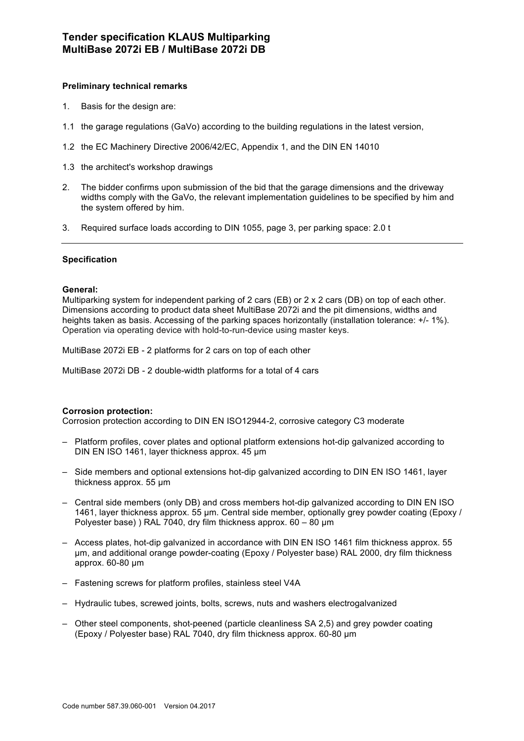## **Preliminary technical remarks**

- 1. Basis for the design are:
- 1.1 the garage regulations (GaVo) according to the building regulations in the latest version,
- 1.2 the EC Machinery Directive 2006/42/EC, Appendix 1, and the DIN EN 14010
- 1.3 the architect's workshop drawings
- 2. The bidder confirms upon submission of the bid that the garage dimensions and the driveway widths comply with the GaVo, the relevant implementation guidelines to be specified by him and the system offered by him.
- 3. Required surface loads according to DIN 1055, page 3, per parking space: 2.0 t

### **Specification**

### **General:**

Multiparking system for independent parking of 2 cars (EB) or 2 x 2 cars (DB) on top of each other. Dimensions according to product data sheet MultiBase 2072i and the pit dimensions, widths and heights taken as basis. Accessing of the parking spaces horizontally (installation tolerance: +/- 1%). Operation via operating device with hold-to-run-device using master keys.

MultiBase 2072i EB - 2 platforms for 2 cars on top of each other

MultiBase 2072i DB - 2 double-width platforms for a total of 4 cars

### **Corrosion protection:**

Corrosion protection according to DIN EN ISO12944-2, corrosive category C3 moderate

- Platform profiles, cover plates and optional platform extensions hot-dip galvanized according to DIN EN ISO 1461, layer thickness approx. 45 µm
- Side members and optional extensions hot-dip galvanized according to DIN EN ISO 1461, layer thickness approx. 55 µm
- Central side members (only DB) and cross members hot-dip galvanized according to DIN EN ISO 1461, layer thickness approx. 55 µm. Central side member, optionally grey powder coating (Epoxy / Polyester base) ) RAL 7040, dry film thickness approx. 60 – 80 µm
- Access plates, hot-dip galvanized in accordance with DIN EN ISO 1461 film thickness approx. 55 µm, and additional orange powder-coating (Epoxy / Polyester base) RAL 2000, dry film thickness approx. 60-80 µm
- Fastening screws for platform profiles, stainless steel V4A
- Hydraulic tubes, screwed joints, bolts, screws, nuts and washers electrogalvanized
- Other steel components, shot-peened (particle cleanliness SA 2,5) and grey powder coating (Epoxy / Polyester base) RAL 7040, dry film thickness approx. 60-80 µm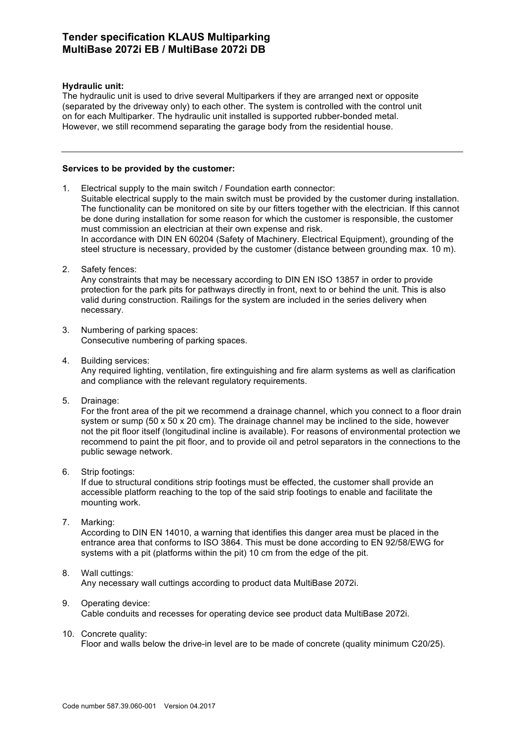## **Hydraulic unit:**

The hydraulic unit is used to drive several Multiparkers if they are arranged next or opposite (separated by the driveway only) to each other. The system is controlled with the control unit on for each Multiparker. The hydraulic unit installed is supported rubber-bonded metal. However, we still recommend separating the garage body from the residential house.

### **Services to be provided by the customer:**

1. Electrical supply to the main switch / Foundation earth connector: Suitable electrical supply to the main switch must be provided by the customer during installation. The functionality can be monitored on site by our fitters together with the electrician. If this cannot be done during installation for some reason for which the customer is responsible, the customer must commission an electrician at their own expense and risk. In accordance with DIN EN 60204 (Safety of Machinery. Electrical Equipment), grounding of the steel structure is necessary, provided by the customer (distance between grounding max. 10 m).

2. Safety fences:

Any constraints that may be necessary according to DIN EN ISO 13857 in order to provide protection for the park pits for pathways directly in front, next to or behind the unit. This is also valid during construction. Railings for the system are included in the series delivery when necessary.

- 3. Numbering of parking spaces: Consecutive numbering of parking spaces.
- 4. Building services: Any required lighting, ventilation, fire extinguishing and fire alarm systems as well as clarification and compliance with the relevant regulatory requirements.
- 5. Drainage:

For the front area of the pit we recommend a drainage channel, which you connect to a floor drain system or sump (50 x 50 x 20 cm). The drainage channel may be inclined to the side, however not the pit floor itself (longitudinal incline is available). For reasons of environmental protection we recommend to paint the pit floor, and to provide oil and petrol separators in the connections to the public sewage network.

6. Strip footings:

If due to structural conditions strip footings must be effected, the customer shall provide an accessible platform reaching to the top of the said strip footings to enable and facilitate the mounting work.

7. Marking:

According to DIN EN 14010, a warning that identifies this danger area must be placed in the entrance area that conforms to ISO 3864. This must be done according to EN 92/58/EWG for systems with a pit (platforms within the pit) 10 cm from the edge of the pit.

## 8. Wall cuttings:

Any necessary wall cuttings according to product data MultiBase 2072i.

# 9. Operating device:

Cable conduits and recesses for operating device see product data MultiBase 2072i.

10. Concrete quality:

Floor and walls below the drive-in level are to be made of concrete (quality minimum C20/25).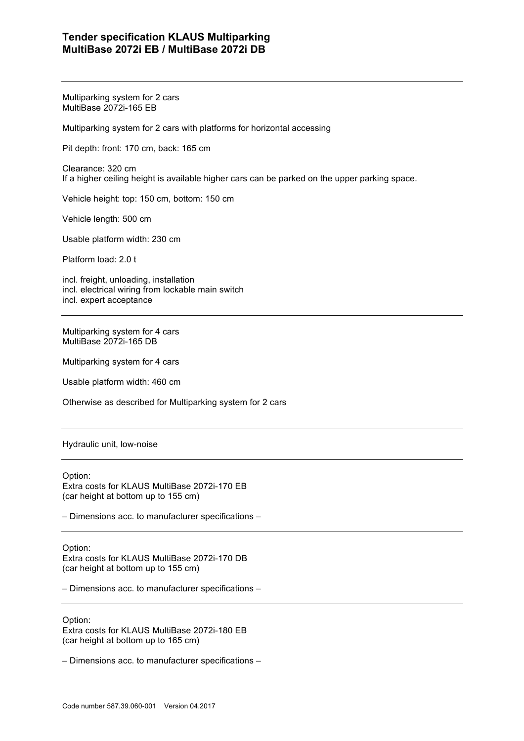Multiparking system for 2 cars MultiBase 2072i-165 EB

Multiparking system for 2 cars with platforms for horizontal accessing

Pit depth: front: 170 cm, back: 165 cm

Clearance: 320 cm If a higher ceiling height is available higher cars can be parked on the upper parking space.

Vehicle height: top: 150 cm, bottom: 150 cm

Vehicle length: 500 cm

Usable platform width: 230 cm

Platform load: 2.0 t

incl. freight, unloading, installation incl. electrical wiring from lockable main switch incl. expert acceptance

Multiparking system for 4 cars MultiBase 2072i-165 DB

Multiparking system for 4 cars

Usable platform width: 460 cm

Otherwise as described for Multiparking system for 2 cars

Hydraulic unit, low-noise

Option:

Extra costs for KLAUS MultiBase 2072i-170 EB (car height at bottom up to 155 cm)

– Dimensions acc. to manufacturer specifications –

Option:

Extra costs for KLAUS MultiBase 2072i-170 DB (car height at bottom up to 155 cm)

– Dimensions acc. to manufacturer specifications –

Option:

Extra costs for KLAUS MultiBase 2072i-180 EB (car height at bottom up to 165 cm)

– Dimensions acc. to manufacturer specifications –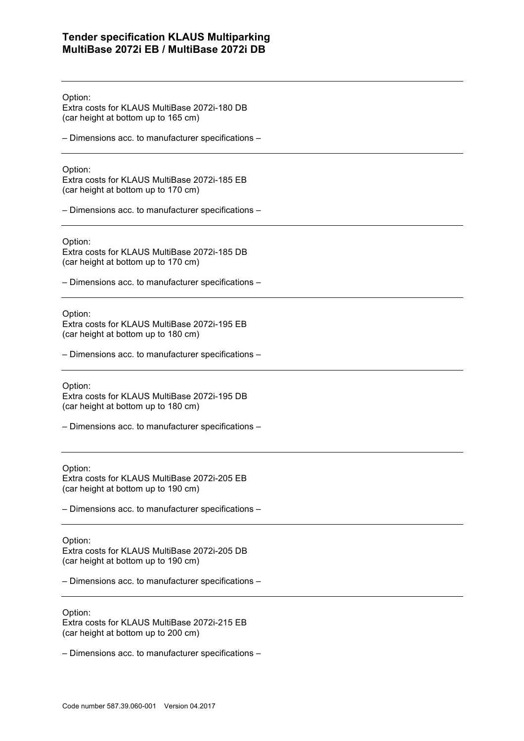Option:

Extra costs for KLAUS MultiBase 2072i-180 DB (car height at bottom up to 165 cm)

– Dimensions acc. to manufacturer specifications –

Option:

Extra costs for KLAUS MultiBase 2072i-185 EB (car height at bottom up to 170 cm)

– Dimensions acc. to manufacturer specifications –

Option:

Extra costs for KLAUS MultiBase 2072i-185 DB (car height at bottom up to 170 cm)

– Dimensions acc. to manufacturer specifications –

Option:

Extra costs for KLAUS MultiBase 2072i-195 EB (car height at bottom up to 180 cm)

– Dimensions acc. to manufacturer specifications –

Option:

Extra costs for KLAUS MultiBase 2072i-195 DB (car height at bottom up to 180 cm)

– Dimensions acc. to manufacturer specifications –

Option: Extra costs for KLAUS MultiBase 2072i-205 EB (car height at bottom up to 190 cm)

– Dimensions acc. to manufacturer specifications –

Option:

Extra costs for KLAUS MultiBase 2072i-205 DB (car height at bottom up to 190 cm)

– Dimensions acc. to manufacturer specifications –

Option:

Extra costs for KLAUS MultiBase 2072i-215 EB (car height at bottom up to 200 cm)

– Dimensions acc. to manufacturer specifications –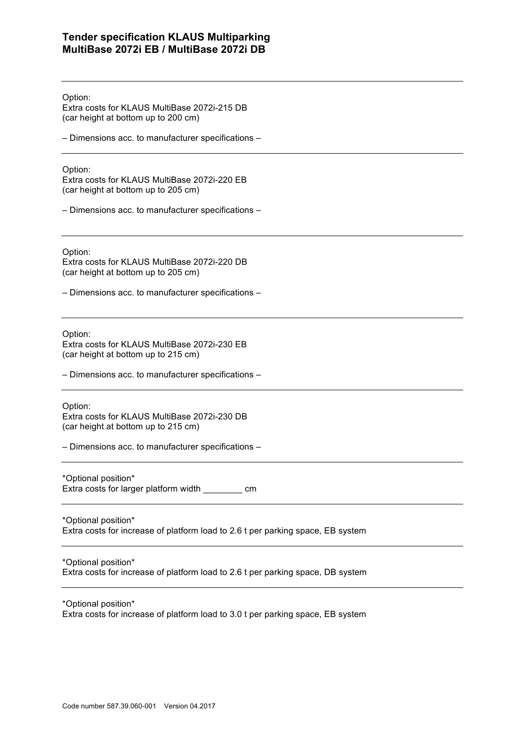Option:

Extra costs for KLAUS MultiBase 2072i-215 DB (car height at bottom up to 200 cm)

– Dimensions acc. to manufacturer specifications –

Option:

Extra costs for KLAUS MultiBase 2072i-220 EB (car height at bottom up to 205 cm)

– Dimensions acc. to manufacturer specifications –

Option:

Extra costs for KLAUS MultiBase 2072i-220 DB (car height at bottom up to 205 cm)

– Dimensions acc. to manufacturer specifications –

Option:

Extra costs for KLAUS MultiBase 2072i-230 EB (car height at bottom up to 215 cm)

– Dimensions acc. to manufacturer specifications –

Option:

Extra costs for KLAUS MultiBase 2072i-230 DB (car height at bottom up to 215 cm)

– Dimensions acc. to manufacturer specifications –

\*Optional position\*

Extra costs for larger platform width \_\_\_\_\_\_\_\_ cm

\*Optional position\* Extra costs for increase of platform load to 2.6 t per parking space, EB system

\*Optional position\* Extra costs for increase of platform load to 2.6 t per parking space, DB system

\*Optional position\*

Extra costs for increase of platform load to 3.0 t per parking space, EB system